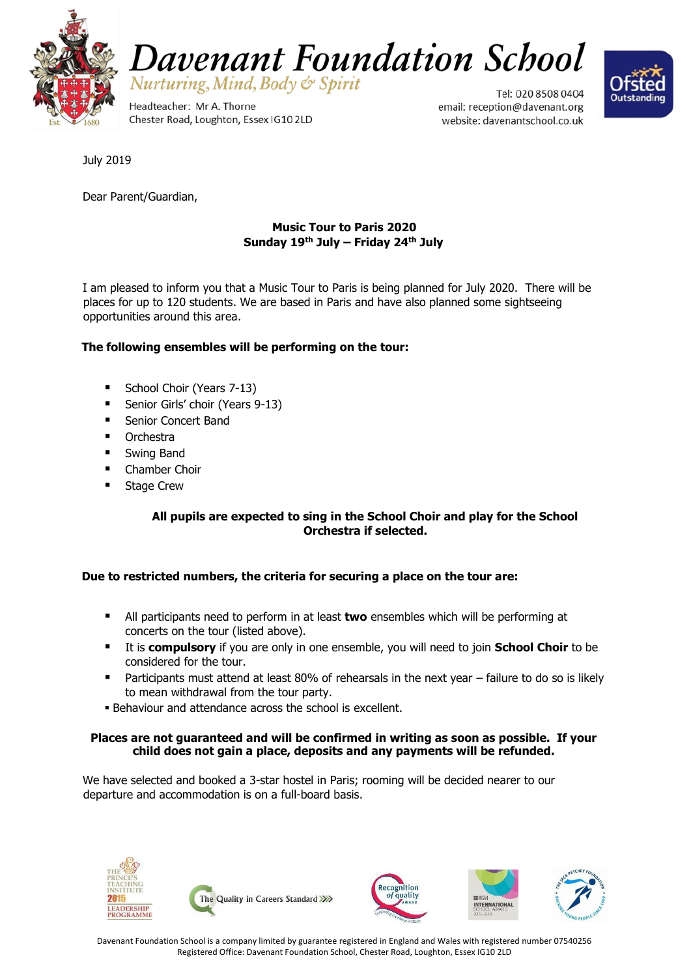



Headteacher: Mr A. Thorne Chester Road, Loughton, Essex IG10 2LD

Tel: 020 8508 0404 email: reception@davenant.org website: davenantschool.co.uk



July 2019

Dear Parent/Guardian,

## **Music Tour to Paris 2020 Sunday 19th July – Friday 24th July**

I am pleased to inform you that a Music Tour to Paris is being planned for July 2020. There will be places for up to 120 students. We are based in Paris and have also planned some sightseeing opportunities around this area.

### **The following ensembles will be performing on the tour:**

- School Choir (Years 7-13)
- Senior Girls' choir (Years 9-13)
- Senior Concert Band
- **•** Orchestra
- **Swing Band**
- Chamber Choir
- **Stage Crew**

### **All pupils are expected to sing in the School Choir and play for the School Orchestra if selected.**

#### **Due to restricted numbers, the criteria for securing a place on the tour are:**

- All participants need to perform in at least **two** ensembles which will be performing at concerts on the tour (listed above).
- It is **compulsory** if you are only in one ensemble, you will need to join **School Choir** to be considered for the tour.
- **Participants must attend at least 80% of rehearsals in the next year failure to do so is likely** to mean withdrawal from the tour party.
- **Behaviour and attendance across the school is excellent.**

#### **Places are not guaranteed and will be confirmed in writing as soon as possible. If your child does not gain a place, deposits and any payments will be refunded.**

We have selected and booked a 3-star hostel in Paris; rooming will be decided nearer to our departure and accommodation is on a full-board basis.









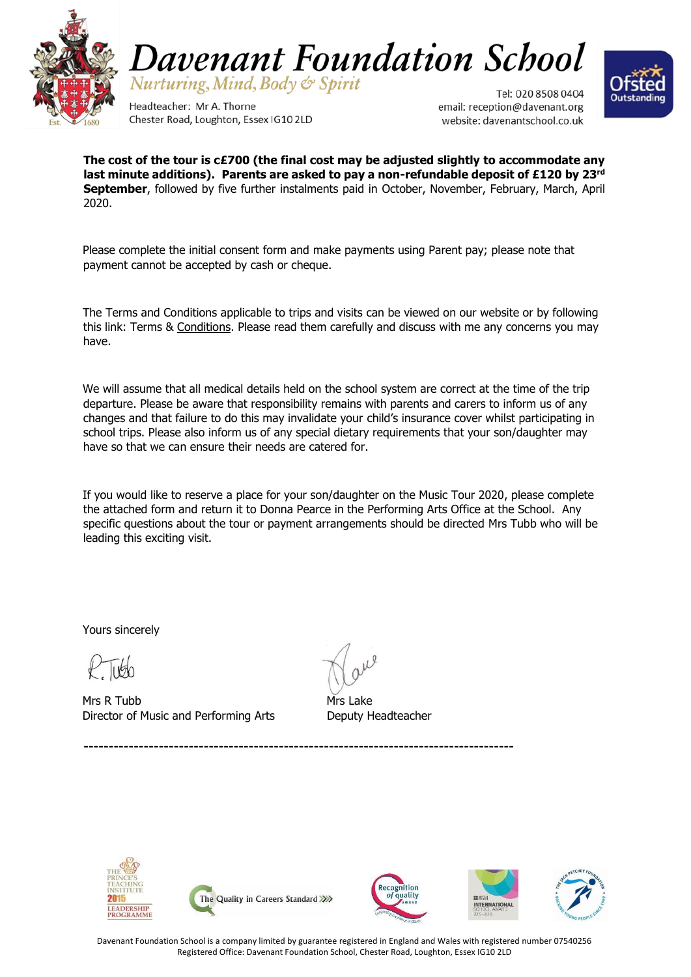



Headteacher: Mr A. Thorne Chester Road, Loughton, Essex IG10 2LD

Tel: 020 8508 0404 email: reception@davenant.org website: davenantschool.co.uk



**The cost of the tour is c£700 (the final cost may be adjusted slightly to accommodate any last minute additions). Parents are asked to pay a non-refundable deposit of £120 by 23rd September**, followed by five further instalments paid in October, November, February, March, April 2020.

Please complete the initial consent form and make payments using Parent pay; please note that payment cannot be accepted by cash or cheque.

The Terms and Conditions applicable to trips and visits can be viewed on our website or by following this link: Terms & [Conditions.](file://///DFS-STAFF/Staff%20Shared/-Admin-/Letterhead%20template/T%20and%20Cs%20for%20school%20trips%202016%20FINAL.pdf) Please read them carefully and discuss with me any concerns you may have.

We will assume that all medical details held on the school system are correct at the time of the trip departure. Please be aware that responsibility remains with parents and carers to inform us of any changes and that failure to do this may invalidate your child's insurance cover whilst participating in school trips. Please also inform us of any special dietary requirements that your son/daughter may have so that we can ensure their needs are catered for.

If you would like to reserve a place for your son/daughter on the Music Tour 2020, please complete the attached form and return it to Donna Pearce in the Performing Arts Office at the School. Any specific questions about the tour or payment arrangements should be directed Mrs Tubb who will be leading this exciting visit.

Yours sincerely

Mrs R Tubb **Mrs** Lake Director of Music and Performing Arts Deputy Headteacher





**--------------------------------------------------------------------------------------**